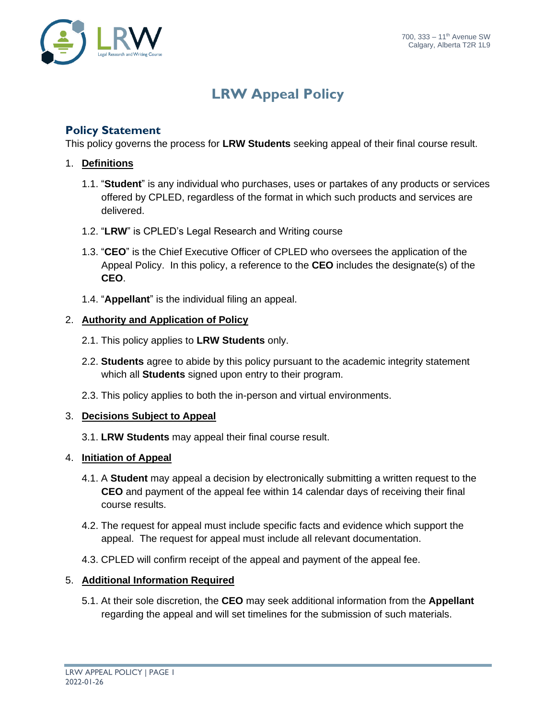

## **LRW Appeal Policy**

### **Policy Statement**

This policy governs the process for **LRW Students** seeking appeal of their final course result.

#### 1. **Definitions**

- 1.1. "**Student**" is any individual who purchases, uses or partakes of any products or services offered by CPLED, regardless of the format in which such products and services are delivered.
- 1.2. "**LRW**" is CPLED's Legal Research and Writing course
- 1.3. "**CEO**" is the Chief Executive Officer of CPLED who oversees the application of the Appeal Policy. In this policy, a reference to the **CEO** includes the designate(s) of the **CEO**.
- 1.4. "**Appellant**" is the individual filing an appeal.

#### 2. **Authority and Application of Policy**

- 2.1. This policy applies to **LRW Students** only.
- 2.2. **Students** agree to abide by this policy pursuant to the academic integrity statement which all **Students** signed upon entry to their program.
- 2.3. This policy applies to both the in-person and virtual environments.

#### 3. **Decisions Subject to Appeal**

- 3.1. **LRW Students** may appeal their final course result.
- 4. **Initiation of Appeal**
	- 4.1. A **Student** may appeal a decision by electronically submitting a written request to the **CEO** and payment of the appeal fee within 14 calendar days of receiving their final course results.
	- 4.2. The request for appeal must include specific facts and evidence which support the appeal. The request for appeal must include all relevant documentation.
	- 4.3. CPLED will confirm receipt of the appeal and payment of the appeal fee.

#### 5. **Additional Information Required**

5.1. At their sole discretion, the **CEO** may seek additional information from the **Appellant** regarding the appeal and will set timelines for the submission of such materials.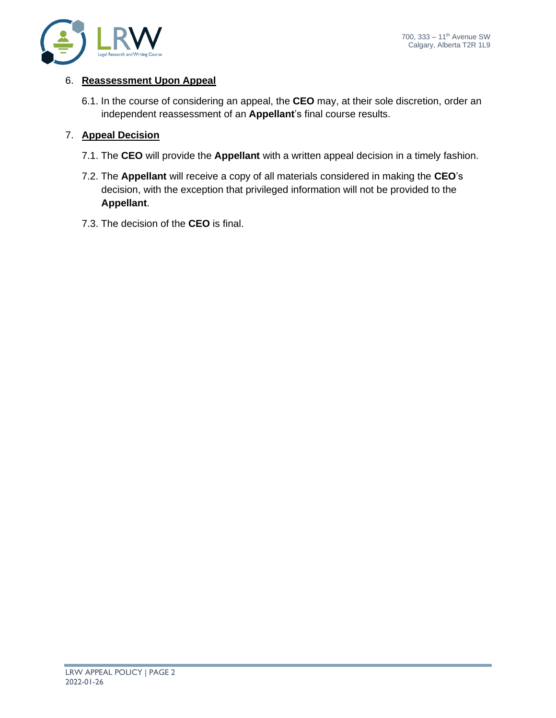

#### 6. **Reassessment Upon Appeal**

6.1. In the course of considering an appeal, the **CEO** may, at their sole discretion, order an independent reassessment of an **Appellant**'s final course results.

#### 7. **Appeal Decision**

- 7.1. The **CEO** will provide the **Appellant** with a written appeal decision in a timely fashion.
- 7.2. The **Appellant** will receive a copy of all materials considered in making the **CEO**'s decision, with the exception that privileged information will not be provided to the **Appellant**.
- 7.3. The decision of the **CEO** is final.